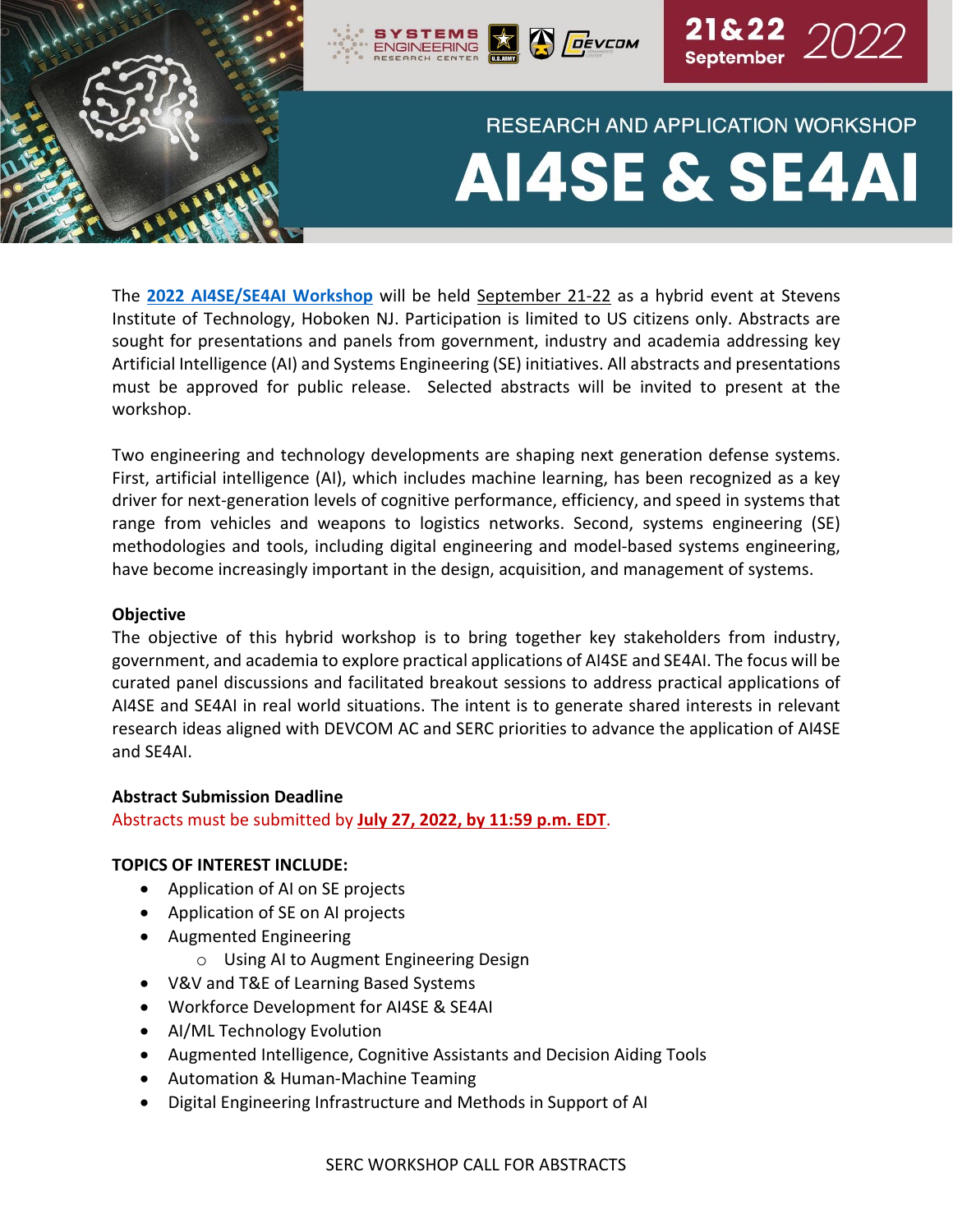

The **[2022 AI4SE/SE4AI Workshop](https://sercuarc.org/event/ai4se-and-se4ai-workshop-2022/)** will be held September 21-22 as a hybrid event at Stevens Institute of Technology, Hoboken NJ. Participation is limited to US citizens only. Abstracts are sought for presentations and panels from government, industry and academia addressing key Artificial Intelligence (AI) and Systems Engineering (SE) initiatives. All abstracts and presentations must be approved for public release. Selected abstracts will be invited to present at the workshop.

Two engineering and technology developments are shaping next generation defense systems. First, artificial intelligence (AI), which includes machine learning, has been recognized as a key driver for next-generation levels of cognitive performance, efficiency, and speed in systems that range from vehicles and weapons to logistics networks. Second, systems engineering (SE) methodologies and tools, including digital engineering and model-based systems engineering, have become increasingly important in the design, acquisition, and management of systems.

#### **Objective**

The objective of this hybrid workshop is to bring together key stakeholders from industry, government, and academia to explore practical applications of AI4SE and SE4AI. The focus will be curated panel discussions and facilitated breakout sessions to address practical applications of AI4SE and SE4AI in real world situations. The intent is to generate shared interests in relevant research ideas aligned with DEVCOM AC and SERC priorities to advance the application of AI4SE and SE4AI.

#### **Abstract Submission Deadline**

Abstracts must be submitted by **July 27, 2022, by 11:59 p.m. EDT**.

## **TOPICS OF INTEREST INCLUDE:**

- Application of AI on SE projects
- Application of SE on AI projects
- Augmented Engineering
	- o Using AI to Augment Engineering Design
- V&V and T&E of Learning Based Systems
- Workforce Development for AI4SE & SE4AI
- AI/ML Technology Evolution
- Augmented Intelligence, Cognitive Assistants and Decision Aiding Tools
- Automation & Human-Machine Teaming
- Digital Engineering Infrastructure and Methods in Support of AI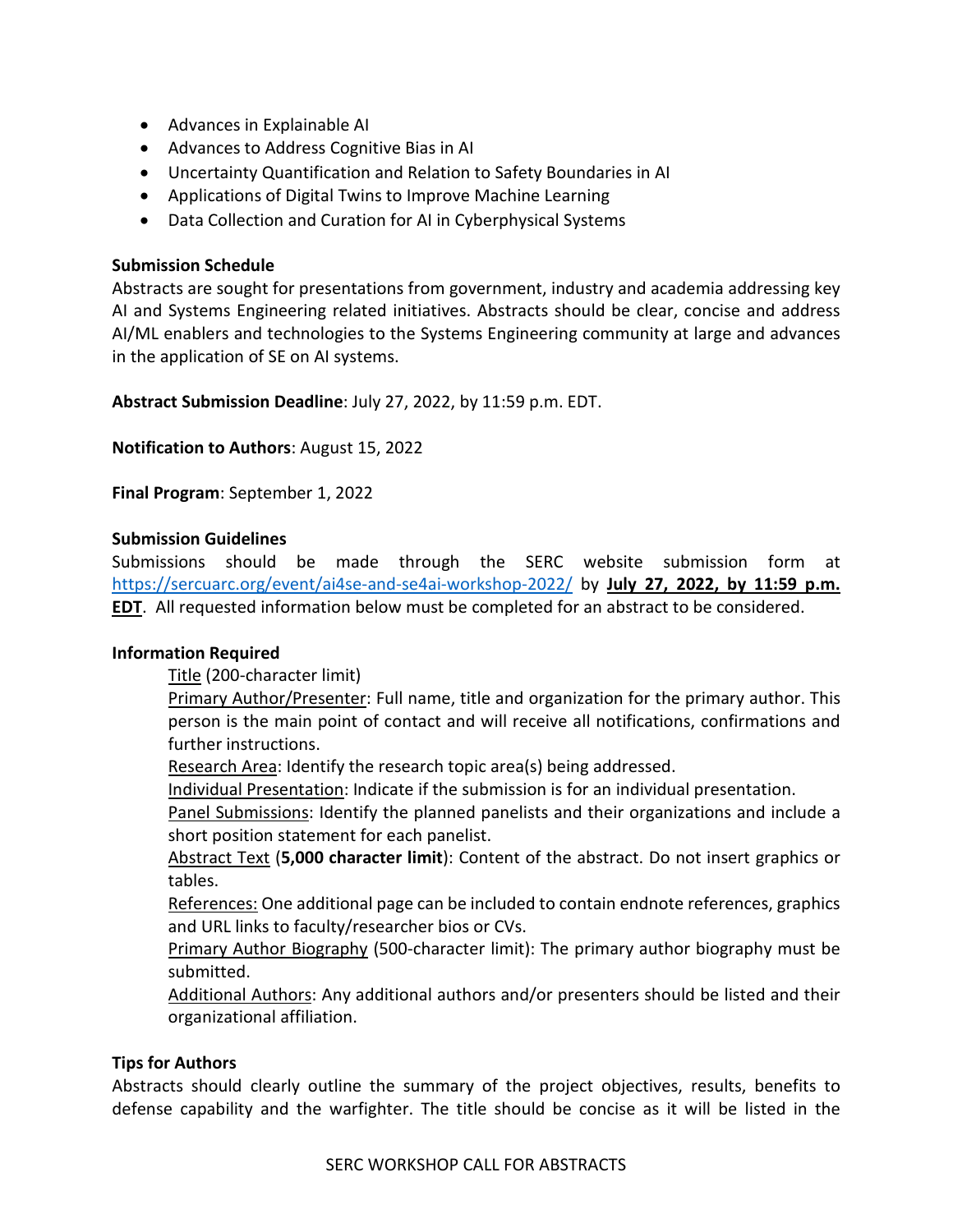- Advances in Explainable AI
- Advances to Address Cognitive Bias in AI
- Uncertainty Quantification and Relation to Safety Boundaries in AI
- Applications of Digital Twins to Improve Machine Learning
- Data Collection and Curation for AI in Cyberphysical Systems

# **Submission Schedule**

Abstracts are sought for presentations from government, industry and academia addressing key AI and Systems Engineering related initiatives. Abstracts should be clear, concise and address AI/ML enablers and technologies to the Systems Engineering community at large and advances in the application of SE on AI systems.

**Abstract Submission Deadline**: July 27, 2022, by 11:59 p.m. EDT.

**Notification to Authors**: August 15, 2022

**Final Program**: September 1, 2022

# **Submission Guidelines**

Submissions should be made through the SERC website submission form at <https://sercuarc.org/event/ai4se-and-se4ai-workshop-2022/> by **July 27, 2022, by 11:59 p.m. EDT**. All requested information below must be completed for an abstract to be considered.

## **Information Required**

Title (200-character limit)

**Primary Author/Presenter:** Full name, title and organization for the primary author. This person is the main point of contact and will receive all notifications, confirmations and further instructions.

Research Area: Identify the research topic area(s) being addressed.

Individual Presentation: Indicate if the submission is for an individual presentation.

Panel Submissions: Identify the planned panelists and their organizations and include a short position statement for each panelist.

Abstract Text (**5,000 character limit**): Content of the abstract. Do not insert graphics or tables.

References: One additional page can be included to contain endnote references, graphics and URL links to faculty/researcher bios or CVs.

Primary Author Biography (500-character limit): The primary author biography must be submitted.

Additional Authors: Any additional authors and/or presenters should be listed and their organizational affiliation.

## **Tips for Authors**

Abstracts should clearly outline the summary of the project objectives, results, benefits to defense capability and the warfighter. The title should be concise as it will be listed in the